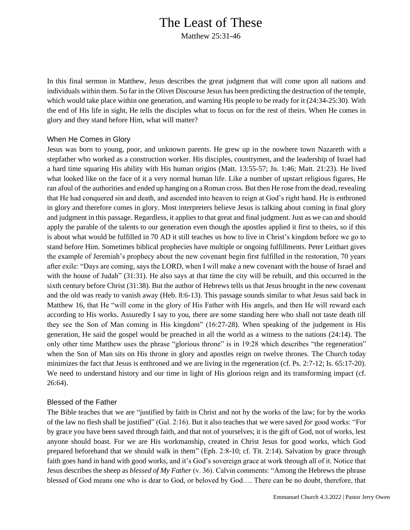# The Least of These

Matthew 25:31-46

In this final sermon in Matthew, Jesus describes the great judgment that will come upon all nations and individuals within them. So far in the Olivet Discourse Jesus has been predicting the destruction of the temple, which would take place within one generation, and warning His people to be ready for it (24:34-25:30). With the end of His life in sight, He tells the disciples what to focus on for the rest of theirs. When He comes in glory and they stand before Him, what will matter?

### When He Comes in Glory

Jesus was born to young, poor, and unknown parents. He grew up in the nowhere town Nazareth with a stepfather who worked as a construction worker. His disciples, countrymen, and the leadership of Israel had a hard time squaring His ability with His human origins (Matt. 13:55-57; Jn. 1:46; Matt. 21:23). He lived what looked like on the face of it a very normal human life. Like a number of upstart religious figures, He ran afoul of the authorities and ended up hanging on a Roman cross. But then He rose from the dead, revealing that He had conquered sin and death, and ascended into heaven to reign at God's right hand. He is enthroned in glory and therefore comes in glory. Most interpreters believe Jesus is talking about coming in final glory and judgment in this passage. Regardless, it applies to that great and final judgment. Just as we can and should apply the parable of the talents to our generation even though the apostles applied it first to theirs, so if this is about what would be fulfilled in 70 AD it still teaches us how to live in Christ's kingdom before we go to stand before Him. Sometimes biblical prophecies have multiple or ongoing fulfillments. Peter Leithart gives the example of Jeremiah's prophecy about the new covenant begin first fulfilled in the restoration, 70 years after exile: "Days are coming, says the LORD, when I will make a new covenant with the house of Israel and with the house of Judah" (31:31). He also says at that time the city will be rebuilt, and this occurred in the sixth century before Christ (31:38). But the author of Hebrews tells us that Jesus brought in the new covenant and the old was ready to vanish away (Heb. 8:6-13). This passage sounds similar to what Jesus said back in Matthew 16, that He "will come in the glory of His Father with His angels, and then He will reward each according to His works. Assuredly I say to you, there are some standing here who shall not taste death till they see the Son of Man coming in His kingdom" (16:27-28). When speaking of the judgement in His generation, He said the gospel would be preached in all the world as a witness to the nations (24:14). The only other time Matthew uses the phrase "glorious throne" is in 19:28 which describes "the regeneration" when the Son of Man sits on His throne in glory and apostles reign on twelve thrones. The Church today minimizes the fact that Jesus is enthroned and we are living in the regeneration (cf. Ps. 2:7-12; Is. 65:17-20). We need to understand history and our time in light of His glorious reign and its transforming impact (cf. 26:64).

#### Blessed of the Father

The Bible teaches that we are "justified by faith in Christ and not by the works of the law; for by the works of the law no flesh shall be justified" (Gal. 2:16). But it also teaches that we were saved *for* good works: "For by grace you have been saved through faith, and that not of yourselves; it is the gift of God, not of works, lest anyone should boast. For we are His workmanship, created in Christ Jesus for good works, which God prepared beforehand that we should walk in them" (Eph. 2:8-10; cf. Tit. 2:14). Salvation by grace through faith goes hand in hand with good works, and it's God's sovereign grace at work through all of it. Notice that Jesus describes the sheep as *blessed of My Father* (v. 36). Calvin comments: "Among the Hebrews the phrase blessed of God means one who is dear to God, or beloved by God…. There can be no doubt, therefore, that